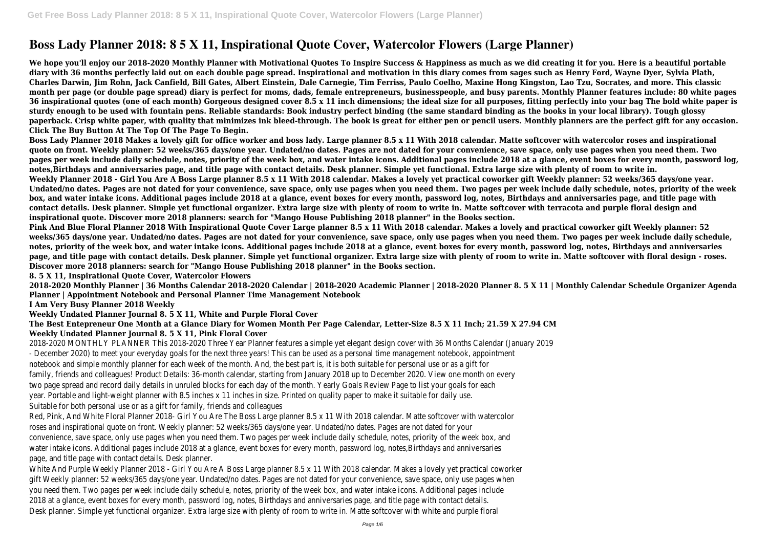# **Boss Lady Planner 2018: 8 5 X 11, Inspirational Quote Cover, Watercolor Flowers (Large Planner)**

**We hope you'll enjoy our 2018-2020 Monthly Planner with Motivational Quotes To Inspire Success & Happiness as much as we did creating it for you. Here is a beautiful portable diary with 36 months perfectly laid out on each double page spread. Inspirational and motivation in this diary comes from sages such as Henry Ford, Wayne Dyer, Sylvia Plath, Charles Darwin, Jim Rohn, Jack Canfield, Bill Gates, Albert Einstein, Dale Carnegie, Tim Ferriss, Paulo Coelho, Maxine Hong Kingston, Lao Tzu, Socrates, and more. This classic month per page (or double page spread) diary is perfect for moms, dads, female entrepreneurs, businesspeople, and busy parents. Monthly Planner features include: 80 white pages 36 inspirational quotes (one of each month) Gorgeous designed cover 8.5 x 11 inch dimensions; the ideal size for all purposes, fitting perfectly into your bag The bold white paper is sturdy enough to be used with fountain pens. Reliable standards: Book industry perfect binding (the same standard binding as the books in your local library). Tough glossy paperback. Crisp white paper, with quality that minimizes ink bleed-through. The book is great for either pen or pencil users. Monthly planners are the perfect gift for any occasion. Click The Buy Button At The Top Of The Page To Begin.**

**Boss Lady Planner 2018 Makes a lovely gift for office worker and boss lady. Large planner 8.5 x 11 With 2018 calendar. Matte softcover with watercolor roses and inspirational quote on front. Weekly planner: 52 weeks/365 days/one year. Undated/no dates. Pages are not dated for your convenience, save space, only use pages when you need them. Two pages per week include daily schedule, notes, priority of the week box, and water intake icons. Additional pages include 2018 at a glance, event boxes for every month, password log, notes,Birthdays and anniversaries page, and title page with contact details. Desk planner. Simple yet functional. Extra large size with plenty of room to write in. Weekly Planner 2018 - Girl You Are A Boss Large planner 8.5 x 11 With 2018 calendar. Makes a lovely yet practical coworker gift Weekly planner: 52 weeks/365 days/one year. Undated/no dates. Pages are not dated for your convenience, save space, only use pages when you need them. Two pages per week include daily schedule, notes, priority of the week box, and water intake icons. Additional pages include 2018 at a glance, event boxes for every month, password log, notes, Birthdays and anniversaries page, and title page with contact details. Desk planner. Simple yet functional organizer. Extra large size with plenty of room to write in. Matte softcover with terracota and purple floral design and inspirational quote. Discover more 2018 planners: search for "Mango House Publishing 2018 planner" in the Books section.**

**Pink And Blue Floral Planner 2018 With Inspirational Quote Cover Large planner 8.5 x 11 With 2018 calendar. Makes a lovely and practical coworker gift Weekly planner: 52 weeks/365 days/one year. Undated/no dates. Pages are not dated for your convenience, save space, only use pages when you need them. Two pages per week include daily schedule, notes, priority of the week box, and water intake icons. Additional pages include 2018 at a glance, event boxes for every month, password log, notes, Birthdays and anniversaries page, and title page with contact details. Desk planner. Simple yet functional organizer. Extra large size with plenty of room to write in. Matte softcover with floral design - roses. Discover more 2018 planners: search for "Mango House Publishing 2018 planner" in the Books section.**

**8. 5 X 11, Inspirational Quote Cover, Watercolor Flowers**

**2018-2020 Monthly Planner | 36 Months Calendar 2018-2020 Calendar | 2018-2020 Academic Planner | 2018-2020 Planner 8. 5 X 11 | Monthly Calendar Schedule Organizer Agenda Planner | Appointment Notebook and Personal Planner Time Management Notebook**

**I Am Very Busy Planner 2018 Weekly**

**Weekly Undated Planner Journal 8. 5 X 11, White and Purple Floral Cover**

## **The Best Entepreneur One Month at a Glance Diary for Women Month Per Page Calendar, Letter-Size 8.5 X 11 Inch; 21.59 X 27.94 CM Weekly Undated Planner Journal 8. 5 X 11, Pink Floral Cover**

2018-2020 MONTHLY PLANNER This 2018-2020 Three Year Planner features a simple yet elegant design cover with 36 Months Calendar (January 2019 - December 2020) to meet your everyday goals for the next three years! This can be used as a personal time management notebook, appointment notebook and simple monthly planner for each week of the month. And, the best part is, it is both suitable for personal use or as a gift for family, friends and colleagues! Product Details: 36-month calendar, starting from January 2018 up to December 2020. View one month on every two page spread and record daily details in unruled blocks for each day of the month. Yearly Goals Review Page to list your goals for each year. Portable and light-weight planner with 8.5 inches x 11 inches in size. Printed on quality paper to make it suitable for daily use. Suitable for both personal use or as a gift for family, friends and colleagues

Red, Pink, And White Floral Planner 2018- Girl You Are The Boss Large planner 8.5 x 11 With 2018 calendar. Matte softcover with watercolor roses and inspirational quote on front. Weekly planner: 52 weeks/365 days/one year. Undated/no dates. Pages are not dated for your convenience, save space, only use pages when you need them. Two pages per week include daily schedule, notes, priority of the week box, and water intake icons. Additional pages include 2018 at a glance, event boxes for every month, password log, notes,Birthdays and anniversaries page, and title page with contact details. Desk planner.

White And Purple Weekly Planner 2018 - Girl You Are A Boss Large planner 8.5 x 11 With 2018 calendar. Makes a lovely yet practical coworker gift Weekly planner: 52 weeks/365 days/one year. Undated/no dates. Pages are not dated for your convenience, save space, only use pages when you need them. Two pages per week include daily schedule, notes, priority of the week box, and water intake icons. Additional pages include 2018 at a glance, event boxes for every month, password log, notes, Birthdays and anniversaries page, and title page with contact details. Desk planner. Simple yet functional organizer. Extra large size with plenty of room to write in. Matte softcover with white and purple floral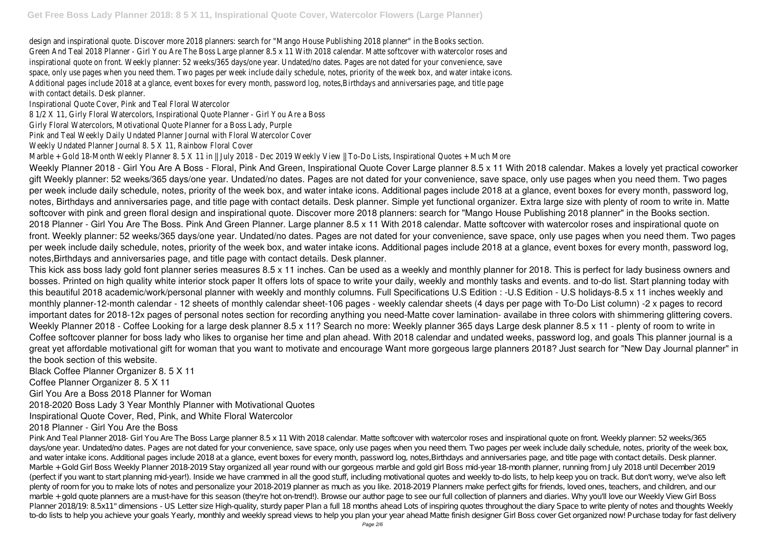design and inspirational quote. Discover more 2018 planners: search for "Mango House Publishing 2018 planner" in the Books section. Green And Teal 2018 Planner - Girl You Are The Boss Large planner 8.5 x 11 With 2018 calendar. Matte softcover with watercolor roses and inspirational quote on front. Weekly planner: 52 weeks/365 days/one year. Undated/no dates. Pages are not dated for your convenience, save space, only use pages when you need them. Two pages per week include daily schedule, notes, priority of the week box, and water intake icons. Additional pages include 2018 at a glance, event boxes for every month, password log, notes,Birthdays and anniversaries page, and title page with contact details. Desk planner.

Inspirational Quote Cover, Pink and Teal Floral Watercolor

8 1/2 X 11, Girly Floral Watercolors, Inspirational Quote Planner - Girl You Are a Boss

Girly Floral Watercolors, Motivational Quote Planner for a Boss Lady, Purple

Pink and Teal Weekly Daily Undated Planner Journal with Floral Watercolor Cover

Weekly Undated Planner Journal 8. 5 X 11, Rainbow Floral Cover

Marble + Gold 18-Month Weekly Planner 8. 5 X 11 in || July 2018 - Dec 2019 Weekly View || To-Do Lists, Inspirational Quotes + Much More Weekly Planner 2018 - Girl You Are A Boss - Floral, Pink And Green, Inspirational Quote Cover Large planner 8.5 x 11 With 2018 calendar. Makes a lovely yet practical coworker gift Weekly planner: 52 weeks/365 days/one year. Undated/no dates. Pages are not dated for your convenience, save space, only use pages when you need them. Two pages per week include daily schedule, notes, priority of the week box, and water intake icons. Additional pages include 2018 at a glance, event boxes for every month, password log, notes, Birthdays and anniversaries page, and title page with contact details. Desk planner. Simple yet functional organizer. Extra large size with plenty of room to write in. Matte softcover with pink and green floral design and inspirational quote. Discover more 2018 planners: search for "Mango House Publishing 2018 planner" in the Books section. 2018 Planner - Girl You Are The Boss. Pink And Green Planner. Large planner 8.5 x 11 With 2018 calendar. Matte softcover with watercolor roses and inspirational quote on front. Weekly planner: 52 weeks/365 days/one year. Undated/no dates. Pages are not dated for your convenience, save space, only use pages when you need them. Two pages per week include daily schedule, notes, priority of the week box, and water intake icons. Additional pages include 2018 at a glance, event boxes for every month, password log, notes,Birthdays and anniversaries page, and title page with contact details. Desk planner.

This kick ass boss lady gold font planner series measures 8.5 x 11 inches. Can be used as a weekly and monthly planner for 2018. This is perfect for lady business owners and bosses. Printed on high quality white interior stock paper It offers lots of space to write your daily, weekly and monthly tasks and events. and to-do list. Start planning today with this beautiful 2018 academic/work/personal planner with weekly and monthly columns. Full Specifications U.S Edition : -U.S Edition - U.S holidays-8.5 x 11 inches weekly and monthly planner-12-month calendar - 12 sheets of monthly calendar sheet-106 pages - weekly calendar sheets (4 days per page with To-Do List column) -2 x pages to record important dates for 2018-12x pages of personal notes section for recording anything you need-Matte cover lamination- availabe in three colors with shimmering glittering covers. Weekly Planner 2018 - Coffee Looking for a large desk planner 8.5 x 11? Search no more: Weekly planner 365 days Large desk planner 8.5 x 11 - plenty of room to write in Coffee softcover planner for boss lady who likes to organise her time and plan ahead. With 2018 calendar and undated weeks, password log, and goals This planner journal is a great yet affordable motivational gift for woman that you want to motivate and encourage Want more gorgeous large planners 2018? Just search for "New Day Journal planner" in the book section of this website.

Black Coffee Planner Organizer 8. 5 X 11

Coffee Planner Organizer 8. 5 X 11

Girl You Are a Boss 2018 Planner for Woman

2018-2020 Boss Lady 3 Year Monthly Planner with Motivational Quotes

Inspirational Quote Cover, Red, Pink, and White Floral Watercolor

# 2018 Planner - Girl You Are the Boss

Pink And Teal Planner 2018- Girl You Are The Boss Large planner 8.5 x 11 With 2018 calendar. Matte softcover with watercolor roses and inspirational quote on front. Weekly planner: 52 weeks/365 days/one year. Undated/no dates. Pages are not dated for your convenience, save space, only use pages when you need them. Two pages per week include daily schedule, notes, priority of the week box, and water intake icons. Additional pages include 2018 at a glance, event boxes for every month, password log, notes.Birthdays and anniversaries page, and title page with contact details. Desk planner. Marble + Gold Girl Boss Weekly Planner 2018-2019 Stay organized all year round with our gorgeous marble and gold girl Boss mid-year 18-month planner, running from July 2018 until December 2019 (perfect if you want to start planning mid-year!). Inside we have crammed in all the good stuff, including motivational quotes and weekly to-do lists, to help keep you on track. But don't worry, we've also left plenty of room for you to make lots of notes and personalize your 2018-2019 planner as much as you like. 2018-2019 Planners make perfect gifts for friends, loved ones, teachers, and children, and our marble + gold quote planners are a must-have for this season (they're hot on-trend!). Browse our author page to see our full collection of planners and diaries. Why you'll love our Weekly View Girl Boss Planner 2018/19: 8.5x11" dimensions - US Letter size High-quality, sturdy paper Plan a full 18 months ahead Lots of inspiring quotes throughout the diary Space to write plenty of notes and thoughts Weekly to-do lists to help you achieve your goals Yearly, monthly and weekly spread views to help you plan your year ahead Matte finish designer Girl Boss cover Get organized now! Purchase today for fast delivery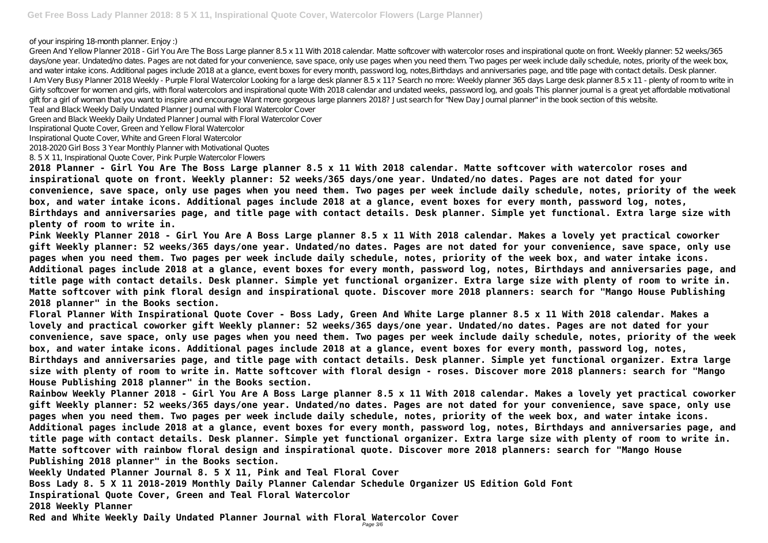of your inspiring 18-month planner. Enjoy :)

Green And Yellow Planner 2018 - Girl You Are The Boss Large planner 8.5 x 11 With 2018 calendar. Matte softcover with watercolor roses and inspirational quote on front. Weekly planner: 52 weeks/365 days/one year. Undated/ho dates. Pages are not dated for your convenience, save space, only use pages when you need them. Two pages per week include daily schedule, notes, priority of the week box, and water intake icons. Additional pages include 2018 at a glance, event boxes for every month, password log, notes, Birthdays and anniversaries page, and title page with contact details. Desk planner. I Am Very Busy Planner 2018 Weekly - Purple Floral Watercolor Looking for a large desk planner 8.5 x 11? Search no more: Weekly planner 365 days Large desk planner 8.5 x 11 - plenty of room to write in Girly softcover for women and girls, with floral watercolors and inspirational quote With 2018 calendar and undated weeks, password log, and goals This planner journal is a great yet affordable motivational gift for a girl of woman that you want to inspire and encourage Want more gorgeous large planners 2018? Just search for "New Day Journal planner" in the book section of this website. Teal and Black Weekly Daily Undated Planner Journal with Floral Watercolor Cover

Green and Black Weekly Daily Undated Planner Journal with Floral Watercolor Cover

Inspirational Quote Cover, Green and Yellow Floral Watercolor

Inspirational Quote Cover, White and Green Floral Watercolor

2018-2020 Girl Boss 3 Year Monthly Planner with Motivational Quotes

8. 5 X 11, Inspirational Quote Cover, Pink Purple Watercolor Flowers

**2018 Planner - Girl You Are The Boss Large planner 8.5 x 11 With 2018 calendar. Matte softcover with watercolor roses and inspirational quote on front. Weekly planner: 52 weeks/365 days/one year. Undated/no dates. Pages are not dated for your convenience, save space, only use pages when you need them. Two pages per week include daily schedule, notes, priority of the week box, and water intake icons. Additional pages include 2018 at a glance, event boxes for every month, password log, notes, Birthdays and anniversaries page, and title page with contact details. Desk planner. Simple yet functional. Extra large size with plenty of room to write in.**

**Pink Weekly Planner 2018 - Girl You Are A Boss Large planner 8.5 x 11 With 2018 calendar. Makes a lovely yet practical coworker gift Weekly planner: 52 weeks/365 days/one year. Undated/no dates. Pages are not dated for your convenience, save space, only use pages when you need them. Two pages per week include daily schedule, notes, priority of the week box, and water intake icons. Additional pages include 2018 at a glance, event boxes for every month, password log, notes, Birthdays and anniversaries page, and title page with contact details. Desk planner. Simple yet functional organizer. Extra large size with plenty of room to write in. Matte softcover with pink floral design and inspirational quote. Discover more 2018 planners: search for "Mango House Publishing 2018 planner" in the Books section.**

**Floral Planner With Inspirational Quote Cover - Boss Lady, Green And White Large planner 8.5 x 11 With 2018 calendar. Makes a lovely and practical coworker gift Weekly planner: 52 weeks/365 days/one year. Undated/no dates. Pages are not dated for your convenience, save space, only use pages when you need them. Two pages per week include daily schedule, notes, priority of the week box, and water intake icons. Additional pages include 2018 at a glance, event boxes for every month, password log, notes, Birthdays and anniversaries page, and title page with contact details. Desk planner. Simple yet functional organizer. Extra large size with plenty of room to write in. Matte softcover with floral design - roses. Discover more 2018 planners: search for "Mango House Publishing 2018 planner" in the Books section.**

**Rainbow Weekly Planner 2018 - Girl You Are A Boss Large planner 8.5 x 11 With 2018 calendar. Makes a lovely yet practical coworker gift Weekly planner: 52 weeks/365 days/one year. Undated/no dates. Pages are not dated for your convenience, save space, only use pages when you need them. Two pages per week include daily schedule, notes, priority of the week box, and water intake icons. Additional pages include 2018 at a glance, event boxes for every month, password log, notes, Birthdays and anniversaries page, and title page with contact details. Desk planner. Simple yet functional organizer. Extra large size with plenty of room to write in. Matte softcover with rainbow floral design and inspirational quote. Discover more 2018 planners: search for "Mango House Publishing 2018 planner" in the Books section.**

**Weekly Undated Planner Journal 8. 5 X 11, Pink and Teal Floral Cover**

**Boss Lady 8. 5 X 11 2018-2019 Monthly Daily Planner Calendar Schedule Organizer US Edition Gold Font Inspirational Quote Cover, Green and Teal Floral Watercolor**

**2018 Weekly Planner**

**Red and White Weekly Daily Undated Planner Journal with Floral Watercolor Cover** Page 3/6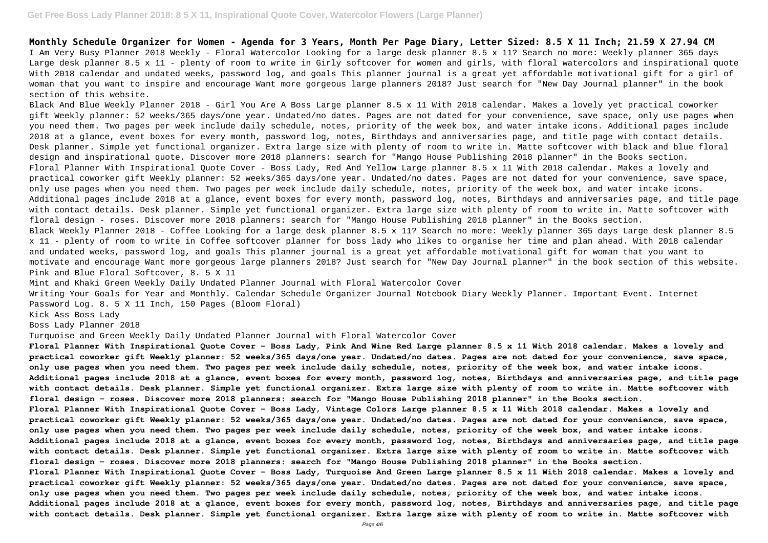### **Get Free Boss Lady Planner 2018: 8 5 X 11, Inspirational Quote Cover, Watercolor Flowers (Large Planner)**

**Monthly Schedule Organizer for Women - Agenda for 3 Years, Month Per Page Diary, Letter Sized: 8.5 X 11 Inch; 21.59 X 27.94 CM** I Am Very Busy Planner 2018 Weekly - Floral Watercolor Looking for a large desk planner 8.5 x 11? Search no more: Weekly planner 365 days Large desk planner 8.5 x 11 - plenty of room to write in Girly softcover for women and girls, with floral watercolors and inspirational quote With 2018 calendar and undated weeks, password log, and goals This planner journal is a great yet affordable motivational gift for a girl of woman that you want to inspire and encourage Want more gorgeous large planners 2018? Just search for "New Day Journal planner" in the book section of this website.

Black And Blue Weekly Planner 2018 - Girl You Are A Boss Large planner 8.5 x 11 With 2018 calendar. Makes a lovely yet practical coworker gift Weekly planner: 52 weeks/365 days/one year. Undated/no dates. Pages are not dated for your convenience, save space, only use pages when you need them. Two pages per week include daily schedule, notes, priority of the week box, and water intake icons. Additional pages include 2018 at a glance, event boxes for every month, password log, notes, Birthdays and anniversaries page, and title page with contact details. Desk planner. Simple yet functional organizer. Extra large size with plenty of room to write in. Matte softcover with black and blue floral design and inspirational quote. Discover more 2018 planners: search for "Mango House Publishing 2018 planner" in the Books section. Floral Planner With Inspirational Quote Cover - Boss Lady, Red And Yellow Large planner 8.5 x 11 With 2018 calendar. Makes a lovely and practical coworker gift Weekly planner: 52 weeks/365 days/one year. Undated/no dates. Pages are not dated for your convenience, save space, only use pages when you need them. Two pages per week include daily schedule, notes, priority of the week box, and water intake icons. Additional pages include 2018 at a glance, event boxes for every month, password log, notes, Birthdays and anniversaries page, and title page with contact details. Desk planner. Simple yet functional organizer. Extra large size with plenty of room to write in. Matte softcover with floral design - roses. Discover more 2018 planners: search for "Mango House Publishing 2018 planner" in the Books section. Black Weekly Planner 2018 - Coffee Looking for a large desk planner 8.5 x 11? Search no more: Weekly planner 365 days Large desk planner 8.5 x 11 - plenty of room to write in Coffee softcover planner for boss lady who likes to organise her time and plan ahead. With 2018 calendar and undated weeks, password log, and goals This planner journal is a great yet affordable motivational gift for woman that you want to motivate and encourage Want more gorgeous large planners 2018? Just search for "New Day Journal planner" in the book section of this website. Pink and Blue Floral Softcover, 8. 5 X 11

Mint and Khaki Green Weekly Daily Undated Planner Journal with Floral Watercolor Cover

Writing Your Goals for Year and Monthly. Calendar Schedule Organizer Journal Notebook Diary Weekly Planner. Important Event. Internet Password Log. 8. 5 X 11 Inch, 150 Pages (Bloom Floral)

Kick Ass Boss Lady

Boss Lady Planner 2018

Turquoise and Green Weekly Daily Undated Planner Journal with Floral Watercolor Cover

**Floral Planner With Inspirational Quote Cover - Boss Lady, Pink And Wine Red Large planner 8.5 x 11 With 2018 calendar. Makes a lovely and practical coworker gift Weekly planner: 52 weeks/365 days/one year. Undated/no dates. Pages are not dated for your convenience, save space, only use pages when you need them. Two pages per week include daily schedule, notes, priority of the week box, and water intake icons. Additional pages include 2018 at a glance, event boxes for every month, password log, notes, Birthdays and anniversaries page, and title page with contact details. Desk planner. Simple yet functional organizer. Extra large size with plenty of room to write in. Matte softcover with floral design - roses. Discover more 2018 planners: search for "Mango House Publishing 2018 planner" in the Books section. Floral Planner With Inspirational Quote Cover - Boss Lady, Vintage Colors Large planner 8.5 x 11 With 2018 calendar. Makes a lovely and practical coworker gift Weekly planner: 52 weeks/365 days/one year. Undated/no dates. Pages are not dated for your convenience, save space, only use pages when you need them. Two pages per week include daily schedule, notes, priority of the week box, and water intake icons. Additional pages include 2018 at a glance, event boxes for every month, password log, notes, Birthdays and anniversaries page, and title page with contact details. Desk planner. Simple yet functional organizer. Extra large size with plenty of room to write in. Matte softcover with floral design - roses. Discover more 2018 planners: search for "Mango House Publishing 2018 planner" in the Books section. Floral Planner With Inspirational Quote Cover - Boss Lady, Turquoise And Green Large planner 8.5 x 11 With 2018 calendar. Makes a lovely and practical coworker gift Weekly planner: 52 weeks/365 days/one year. Undated/no dates. Pages are not dated for your convenience, save space, only use pages when you need them. Two pages per week include daily schedule, notes, priority of the week box, and water intake icons. Additional pages include 2018 at a glance, event boxes for every month, password log, notes, Birthdays and anniversaries page, and title page with contact details. Desk planner. Simple yet functional organizer. Extra large size with plenty of room to write in. Matte softcover with**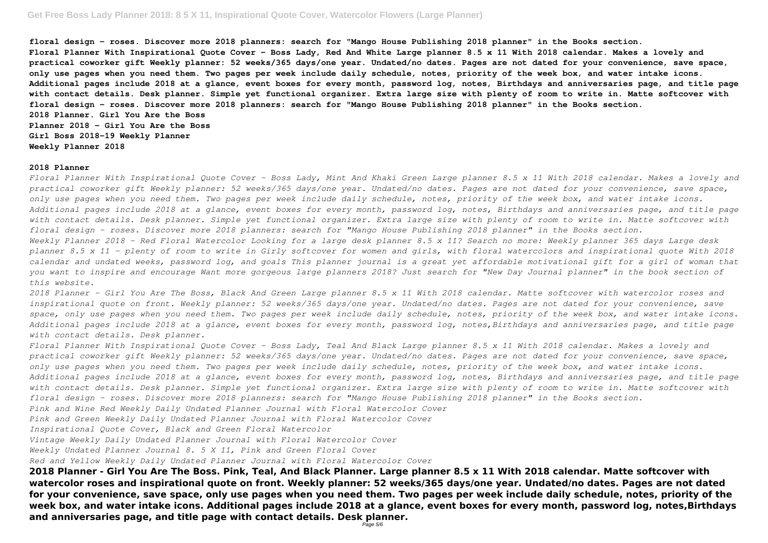**floral design - roses. Discover more 2018 planners: search for "Mango House Publishing 2018 planner" in the Books section. Floral Planner With Inspirational Quote Cover - Boss Lady, Red And White Large planner 8.5 x 11 With 2018 calendar. Makes a lovely and practical coworker gift Weekly planner: 52 weeks/365 days/one year. Undated/no dates. Pages are not dated for your convenience, save space, only use pages when you need them. Two pages per week include daily schedule, notes, priority of the week box, and water intake icons. Additional pages include 2018 at a glance, event boxes for every month, password log, notes, Birthdays and anniversaries page, and title page with contact details. Desk planner. Simple yet functional organizer. Extra large size with plenty of room to write in. Matte softcover with floral design - roses. Discover more 2018 planners: search for "Mango House Publishing 2018 planner" in the Books section. 2018 Planner. Girl You Are the Boss Planner 2018 - Girl You Are the Boss Girl Boss 2018-19 Weekly Planner Weekly Planner 2018**

### **2018 Planner**

*Floral Planner With Inspirational Quote Cover - Boss Lady, Mint And Khaki Green Large planner 8.5 x 11 With 2018 calendar. Makes a lovely and practical coworker gift Weekly planner: 52 weeks/365 days/one year. Undated/no dates. Pages are not dated for your convenience, save space, only use pages when you need them. Two pages per week include daily schedule, notes, priority of the week box, and water intake icons. Additional pages include 2018 at a glance, event boxes for every month, password log, notes, Birthdays and anniversaries page, and title page with contact details. Desk planner. Simple yet functional organizer. Extra large size with plenty of room to write in. Matte softcover with floral design - roses. Discover more 2018 planners: search for "Mango House Publishing 2018 planner" in the Books section. Weekly Planner 2018 - Red Floral Watercolor Looking for a large desk planner 8.5 x 11? Search no more: Weekly planner 365 days Large desk planner 8.5 x 11 - plenty of room to write in Girly softcover for women and girls, with floral watercolors and inspirational quote With 2018 calendar and undated weeks, password log, and goals This planner journal is a great yet affordable motivational gift for a girl of woman that you want to inspire and encourage Want more gorgeous large planners 2018? Just search for "New Day Journal planner" in the book section of this website.*

*2018 Planner - Girl You Are The Boss, Black And Green Large planner 8.5 x 11 With 2018 calendar. Matte softcover with watercolor roses and inspirational quote on front. Weekly planner: 52 weeks/365 days/one year. Undated/no dates. Pages are not dated for your convenience, save space, only use pages when you need them. Two pages per week include daily schedule, notes, priority of the week box, and water intake icons. Additional pages include 2018 at a glance, event boxes for every month, password log, notes,Birthdays and anniversaries page, and title page with contact details. Desk planner.*

*Floral Planner With Inspirational Quote Cover - Boss Lady, Teal And Black Large planner 8.5 x 11 With 2018 calendar. Makes a lovely and practical coworker gift Weekly planner: 52 weeks/365 days/one year. Undated/no dates. Pages are not dated for your convenience, save space, only use pages when you need them. Two pages per week include daily schedule, notes, priority of the week box, and water intake icons. Additional pages include 2018 at a glance, event boxes for every month, password log, notes, Birthdays and anniversaries page, and title page with contact details. Desk planner. Simple yet functional organizer. Extra large size with plenty of room to write in. Matte softcover with floral design - roses. Discover more 2018 planners: search for "Mango House Publishing 2018 planner" in the Books section. Pink and Wine Red Weekly Daily Undated Planner Journal with Floral Watercolor Cover*

*Pink and Green Weekly Daily Undated Planner Journal with Floral Watercolor Cover*

*Inspirational Quote Cover, Black and Green Floral Watercolor*

*Vintage Weekly Daily Undated Planner Journal with Floral Watercolor Cover*

*Weekly Undated Planner Journal 8. 5 X 11, Pink and Green Floral Cover*

*Red and Yellow Weekly Daily Undated Planner Journal with Floral Watercolor Cover*

**2018 Planner - Girl You Are The Boss. Pink, Teal, And Black Planner. Large planner 8.5 x 11 With 2018 calendar. Matte softcover with watercolor roses and inspirational quote on front. Weekly planner: 52 weeks/365 days/one year. Undated/no dates. Pages are not dated for your convenience, save space, only use pages when you need them. Two pages per week include daily schedule, notes, priority of the week box, and water intake icons. Additional pages include 2018 at a glance, event boxes for every month, password log, notes,Birthdays and anniversaries page, and title page with contact details. Desk planner.**